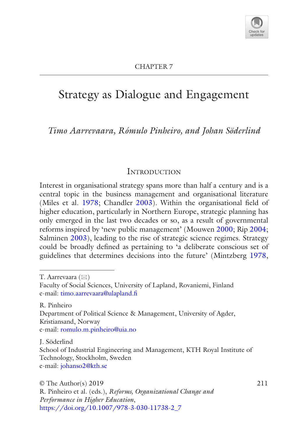# Strategy as Dialogue and Engagement

*Timo Aarrevaara, Rómulo Pinheiro, and Johan Söderlind*

## **INTRODUCTION**

Interest in organisational strategy spans more than half a century and is a central topic in the business management and organisational literature (Miles et al. [1978](#page-21-0); Chandler [2003\)](#page-20-0). Within the organisational field of higher education, particularly in Northern Europe, strategic planning has only emerged in the last two decades or so, as a result of governmental reforms inspired by 'new public management' (Mouwen [2000](#page-21-1); Rip [2004;](#page-22-0) Salminen [2003](#page-22-1)), leading to the rise of strategic science regimes. Strategy could be broadly defined as pertaining to 'a deliberate conscious set of guidelines that determines decisions into the future' (Mintzberg [1978,](#page-21-2)

T. Aarrevaara  $(\boxtimes)$ 

R. Pinheiro Department of Political Science & Management, University of Agder, Kristiansand, Norway e-mail: [romulo.m.pinheiro@uia.no](mailto:romulo.m.pinheiro@uia.no)

J. Söderlind

Faculty of Social Sciences, University of Lapland, Rovaniemi, Finland e-mail: [timo.aarrevaara@ulapland.fi](mailto:timo.aarrevaara@ulapland.fi)

School of Industrial Engineering and Management, KTH Royal Institute of Technology, Stockholm, Sweden e-mail: [johanso2@kth.se](mailto:johanso2@kth.se)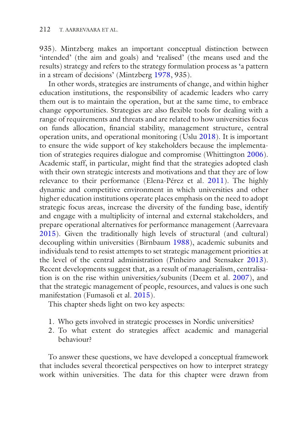935). Mintzberg makes an important conceptual distinction between 'intended' (the aim and goals) and 'realised' (the means used and the results) strategy and refers to the strategy formulation process as 'a pattern in a stream of decisions' (Mintzberg [1978](#page-21-2), 935).

In other words, strategies are instruments of change, and within higher education institutions, the responsibility of academic leaders who carry them out is to maintain the operation, but at the same time, to embrace change opportunities. Strategies are also flexible tools for dealing with a range of requirements and threats and are related to how universities focus on funds allocation, financial stability, management structure, central operation units, and operational monitoring (Uslu [2018\)](#page-22-2). It is important to ensure the wide support of key stakeholders because the implementation of strategies requires dialogue and compromise (Whittington [2006](#page-23-0)). Academic staff, in particular, might find that the strategies adopted clash with their own strategic interests and motivations and that they are of low relevance to their performance (Elena-Pérez et al. [2011\)](#page-20-1). The highly dynamic and competitive environment in which universities and other higher education institutions operate places emphasis on the need to adopt strategic focus areas, increase the diversity of the funding base, identify and engage with a multiplicity of internal and external stakeholders, and prepare operational alternatives for performance management (Aarrevaara [2015](#page-19-0)). Given the traditionally high levels of structural (and cultural) decoupling within universities (Birnbaum [1988](#page-20-2)), academic subunits and individuals tend to resist attempts to set strategic management priorities at the level of the central administration (Pinheiro and Stensaker [2013](#page-22-3)). Recent developments suggest that, as a result of managerialism, centralisation is on the rise within universities/subunits (Deem et al. [2007\)](#page-20-3), and that the strategic management of people, resources, and values is one such manifestation (Fumasoli et al. [2015\)](#page-20-4).

This chapter sheds light on two key aspects:

- 1. Who gets involved in strategic processes in Nordic universities?
- 2. To what extent do strategies affect academic and managerial behaviour?

To answer these questions, we have developed a conceptual framework that includes several theoretical perspectives on how to interpret strategy work within universities. The data for this chapter were drawn from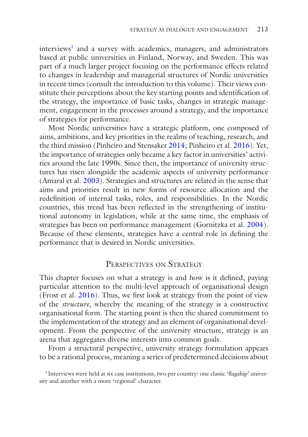interviews<sup>[1](#page-2-0)</sup> and a survey with academics, managers, and administrators based at public universities in Finland, Norway, and Sweden. This was part of a much larger project focusing on the performance effects related to changes in leadership and managerial structures of Nordic universities in recent times (consult the introduction to this volume). Their views constitute their perceptions about the key starting points and identification of the strategy, the importance of basic tasks, changes in strategic management, engagement in the processes around a strategy, and the importance of strategies for performance.

Most Nordic universities have a strategic platform, one composed of aims, ambitions, and key priorities in the realms of teaching, research, and the third mission (Pinheiro and Stensaker [2014](#page-22-4); Pinheiro et al. [2016\)](#page-22-5). Yet, the importance of strategies only became a key factor in universities' activities around the late 1990s. Since then, the importance of university structures has risen alongside the academic aspects of university performance (Amaral et al. [2003\)](#page-19-1). Strategies and structures are related in the sense that aims and priorities result in new forms of resource allocation and the redefinition of internal tasks, roles, and responsibilities. In the Nordic countries, this trend has been reflected in the strengthening of institutional autonomy in legislation, while at the same time, the emphasis of strategies has been on performance management (Gornitzka et al. [2004](#page-20-5)). Because of these elements, strategies have a central role in defining the performance that is desired in Nordic universities.

### PERSPECTIVES ON STRATEGY

This chapter focuses on what a strategy is and how is it defined, paying particular attention to the multi-level approach of organisational design (Frost et al. [2016](#page-20-6)). Thus, we first look at strategy from the point of view of the *structure*, whereby the meaning of the strategy is a constructive organisational form. The starting point is then the shared commitment to the implementation of the strategy and an element of organisational development. From the perspective of the university structure, strategy is an arena that aggregates diverse interests into common goals.

From a structural perspective, university strategy formulation appears to be a rational process, meaning a series of predetermined decisions about

<span id="page-2-0"></span><sup>1</sup> Interviews were held at six case institutions, two per country: one classic 'flagship' university and another with a more 'regional' character.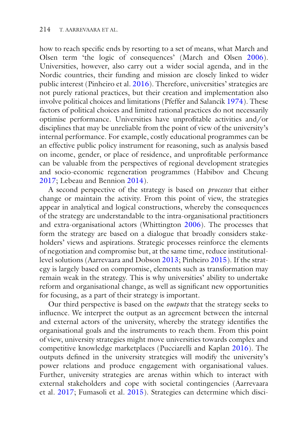how to reach specific ends by resorting to a set of means, what March and Olsen term 'the logic of consequences' (March and Olsen [2006](#page-21-3)). Universities, however, also carry out a wider social agenda, and in the Nordic countries, their funding and mission are closely linked to wider public interest (Pinheiro et al. [2016](#page-22-5)). Therefore, universities' strategies are not purely rational practices, but their creation and implementation also involve political choices and limitations (Pfeffer and Salancik [1974\)](#page-22-6). These factors of political choices and limited rational practices do not necessarily optimise performance. Universities have unprofitable activities and/or disciplines that may be unreliable from the point of view of the university's internal performance. For example, costly educational programmes can be an effective public policy instrument for reasoning, such as analysis based on income, gender, or place of residence, and unprofitable performance can be valuable from the perspectives of regional development strategies and socio-economic regeneration programmes (Habibov and Cheung [2017](#page-21-4); Lebeau and Bennion [2014\)](#page-21-5).

A second perspective of the strategy is based on *processes* that either change or maintain the activity. From this point of view, the strategies appear in analytical and logical constructions, whereby the consequences of the strategy are understandable to the intra-organisational practitioners and extra-organisational actors (Whittington [2006\)](#page-23-0). The processes that form the strategy are based on a dialogue that broadly considers stakeholders' views and aspirations. Strategic processes reinforce the elements of negotiation and compromise but, at the same time, reduce institutionallevel solutions (Aarrevaara and Dobson [2013](#page-19-2); Pinheiro [2015](#page-22-7)). If the strategy is largely based on compromise, elements such as transformation may remain weak in the strategy. This is why universities' ability to undertake reform and organisational change, as well as significant new opportunities for focusing, as a part of their strategy is important.

Our third perspective is based on the *outputs* that the strategy seeks to influence. We interpret the output as an agreement between the internal and external actors of the university, whereby the strategy identifies the organisational goals and the instruments to reach them. From this point of view, university strategies might move universities towards complex and competitive knowledge marketplaces (Pucciarelli and Kaplan [2016\)](#page-22-8). The outputs defined in the university strategies will modify the university's power relations and produce engagement with organisational values. Further, university strategies are arenas within which to interact with external stakeholders and cope with societal contingencies (Aarrevaara et al. [2017;](#page-19-3) Fumasoli et al. [2015\)](#page-20-4). Strategies can determine which disci-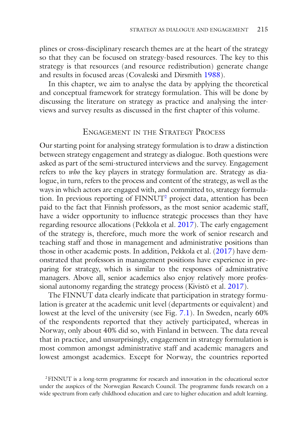plines or cross-disciplinary research themes are at the heart of the strategy so that they can be focused on strategy-based resources. The key to this strategy is that resources (and resource redistribution) generate change and results in focused areas (Covaleski and Dirsmith [1988](#page-20-7)).

In this chapter, we aim to analyse the data by applying the theoretical and conceptual framework for strategy formulation. This will be done by discussing the literature on strategy as practice and analysing the interviews and survey results as discussed in the first chapter of this volume.

### Engagement in the Strategy Process

Our starting point for analysing strategy formulation is to draw a distinction between strategy engagement and strategy as dialogue. Both questions were asked as part of the semi-structured interviews and the survey. Engagement refers to *who* the key players in strategy formulation are. Strategy as dialogue, in turn, refers to the process and content of the strategy, as well as the ways in which actors are engaged with, and committed to, strategy formulation. In previous reporting of FINNUT<sup>2</sup> project data, attention has been paid to the fact that Finnish professors, as the most senior academic staff, have a wider opportunity to influence strategic processes than they have regarding resource allocations (Pekkola et al. [2017](#page-22-9)). The early engagement of the strategy is, therefore, much more the work of senior research and teaching staff and those in management and administrative positions than those in other academic posts. In addition, Pekkola et al.  $(2017)$  $(2017)$  have demonstrated that professors in management positions have experience in preparing for strategy, which is similar to the responses of administrative managers. Above all, senior academics also enjoy relatively more professional autonomy regarding the strategy process (Kivistö et al. [2017\)](#page-21-6).

The FINNUT data clearly indicate that participation in strategy formulation is greater at the academic unit level (departments or equivalent) and lowest at the level of the university (see Fig. [7.1\)](#page-5-0). In Sweden, nearly 60% of the respondents reported that they actively participated, whereas in Norway, only about 40% did so, with Finland in between. The data reveal that in practice, and unsurprisingly, engagement in strategy formulation is most common amongst administrative staff and academic managers and lowest amongst academics. Except for Norway, the countries reported

<span id="page-4-0"></span><sup>2</sup>FINNUT is a long-term programme for research and innovation in the educational sector under the auspices of the Norwegian Research Council. The programme funds research on a wide spectrum from early childhood education and care to higher education and adult learning.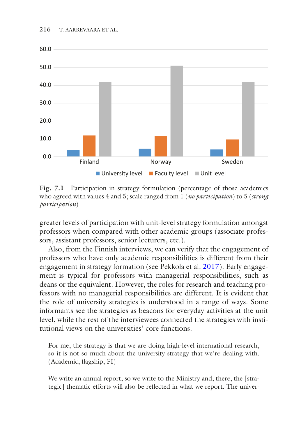<span id="page-5-0"></span>

Fig. 7.1 Participation in strategy formulation (percentage of those academics who agreed with values 4 and 5; scale ranged from 1 (*no participation*) to 5 (*strong participation*)

greater levels of participation with unit-level strategy formulation amongst professors when compared with other academic groups (associate professors, assistant professors, senior lecturers, etc.).

Also, from the Finnish interviews, we can verify that the engagement of professors who have only academic responsibilities is different from their engagement in strategy formation (see Pekkola et al. [2017\)](#page-22-9). Early engagement is typical for professors with managerial responsibilities, such as deans or the equivalent. However, the roles for research and teaching professors with no managerial responsibilities are different. It is evident that the role of university strategies is understood in a range of ways. Some informants see the strategies as beacons for everyday activities at the unit level, while the rest of the interviewees connected the strategies with institutional views on the universities' core functions.

For me, the strategy is that we are doing high-level international research, so it is not so much about the university strategy that we're dealing with. (Academic, flagship, FI)

We write an annual report, so we write to the Ministry and, there, the [strategic] thematic efforts will also be reflected in what we report. The univer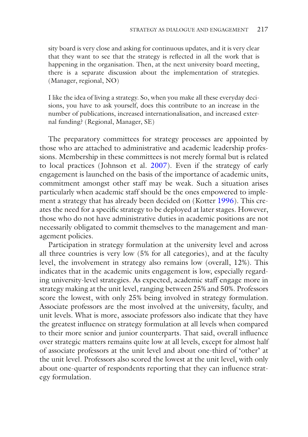sity board is very close and asking for continuous updates, and it is very clear that they want to see that the strategy is reflected in all the work that is happening in the organisation. Then, at the next university board meeting, there is a separate discussion about the implementation of strategies. (Manager, regional, NO)

I like the idea of living a strategy. So, when you make all these everyday decisions, you have to ask yourself, does this contribute to an increase in the number of publications, increased internationalisation, and increased external funding? (Regional, Manager, SE)

The preparatory committees for strategy processes are appointed by those who are attached to administrative and academic leadership professions. Membership in these committees is not merely formal but is related to local practices (Johnson et al. [2007\)](#page-21-7). Even if the strategy of early engagement is launched on the basis of the importance of academic units, commitment amongst other staff may be weak. Such a situation arises particularly when academic staff should be the ones empowered to implement a strategy that has already been decided on (Kotter [1996\)](#page-21-8). This creates the need for a specific strategy to be deployed at later stages. However, those who do not have administrative duties in academic positions are not necessarily obligated to commit themselves to the management and management policies.

Participation in strategy formulation at the university level and across all three countries is very low (5% for all categories), and at the faculty level, the involvement in strategy also remains low (overall, 12%). This indicates that in the academic units engagement is low, especially regarding university-level strategies. As expected, academic staff engage more in strategy making at the unit level, ranging between 25% and 50%. Professors score the lowest, with only 25% being involved in strategy formulation. Associate professors are the most involved at the university, faculty, and unit levels. What is more, associate professors also indicate that they have the greatest influence on strategy formulation at all levels when compared to their more senior and junior counterparts. That said, overall influence over strategic matters remains quite low at all levels, except for almost half of associate professors at the unit level and about one-third of 'other' at the unit level. Professors also scored the lowest at the unit level, with only about one-quarter of respondents reporting that they can influence strategy formulation.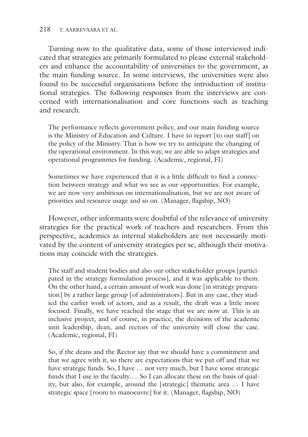Turning now to the qualitative data, some of those interviewed indicated that strategies are primarily formulated to please external stakeholders and enhance the accountability of universities to the government, as the main funding source. In some interviews, the universities were also found to be successful organisations before the introduction of institutional strategies. The following responses from the interviews are concerned with internationalisation and core functions such as teaching and research.

The performance reflects government policy, and our main funding source is the Ministry of Education and Culture. I have to report [to our staff] on the policy of the Ministry. That is how we try to anticipate the changing of the operational environment. In this way, we are able to adapt strategies and operational programmes for funding. (Academic, regional, FI)

Sometimes we have experienced that it is a little difficult to find a connection between strategy and what we see as our opportunities. For example, we are now very ambitious on internationalisation, but we are not aware of priorities and resource usage and so on. (Manager, flagship, NO)

However, other informants were doubtful of the relevance of university strategies for the practical work of teachers and researchers. From this perspective, academics as internal stakeholders are not necessarily motivated by the content of university strategies per se, although their motivations may coincide with the strategies.

The staff and student bodies and also our other stakeholder groups [participated in the strategy formulation process], and it was applicable to them. On the other hand, a certain amount of work was done [in strategy preparation] by a rather large group [of administrators]. But in any case, they studied the earlier work of actors, and as a result, the draft was a little more focused. Finally, we have reached the stage that we are now at. This is an inclusive project, and of course, in practice, the decisions of the academic unit leadership, dean, and rectors of the university will close the case. (Academic, regional, FI)

So, if the deans and the Rector say that we should have a commitment and that we agree with it, so there are expectations that we put off and that we have strategic funds. So, I have … not very much, but I have some strategic funds that I use in the faculty.... So I can allocate these on the basis of quality, but also, for example, around the [strategic] thematic area … I have strategic space [room to manoeuvre] for it. (Manager, flagship, NO)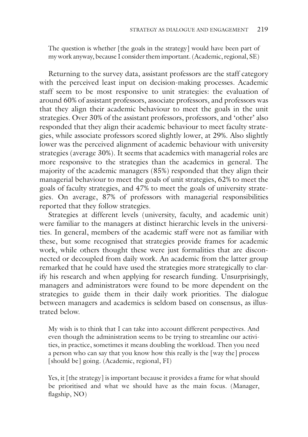The question is whether [the goals in the strategy] would have been part of my work anyway, because I consider them important. (Academic, regional, SE)

Returning to the survey data, assistant professors are the staff category with the perceived least input on decision-making processes. Academic staff seem to be most responsive to unit strategies: the evaluation of around 60% of assistant professors, associate professors, and professors was that they align their academic behaviour to meet the goals in the unit strategies. Over 30% of the assistant professors, professors, and 'other' also responded that they align their academic behaviour to meet faculty strategies, while associate professors scored slightly lower, at 29%. Also slightly lower was the perceived alignment of academic behaviour with university strategies (average 30%). It seems that academics with managerial roles are more responsive to the strategies than the academics in general. The majority of the academic managers (85%) responded that they align their managerial behaviour to meet the goals of unit strategies, 62% to meet the goals of faculty strategies, and 47% to meet the goals of university strategies. On average, 87% of professors with managerial responsibilities reported that they follow strategies.

Strategies at different levels (university, faculty, and academic unit) were familiar to the managers at distinct hierarchic levels in the universities. In general, members of the academic staff were not as familiar with these, but some recognised that strategies provide frames for academic work, while others thought these were just formalities that are disconnected or decoupled from daily work. An academic from the latter group remarked that he could have used the strategies more strategically to clarify his research and when applying for research funding. Unsurprisingly, managers and administrators were found to be more dependent on the strategies to guide them in their daily work priorities. The dialogue between managers and academics is seldom based on consensus, as illustrated below.

My wish is to think that I can take into account different perspectives. And even though the administration seems to be trying to streamline our activities, in practice, sometimes it means doubling the workload. Then you need a person who can say that you know how this really is the [way the] process [should be] going. (Academic, regional, FI)

Yes, it [the strategy] is important because it provides a frame for what should be prioritised and what we should have as the main focus. (Manager, flagship, NO)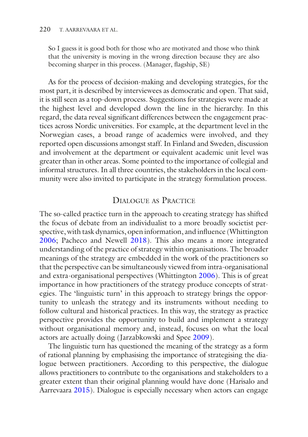So I guess it is good both for those who are motivated and those who think that the university is moving in the wrong direction because they are also becoming sharper in this process. (Manager, flagship, SE)

As for the process of decision-making and developing strategies, for the most part, it is described by interviewees as democratic and open. That said, it is still seen as a top-down process. Suggestions for strategies were made at the highest level and developed down the line in the hierarchy. In this regard, the data reveal significant differences between the engagement practices across Nordic universities. For example, at the department level in the Norwegian cases, a broad range of academics were involved, and they reported open discussions amongst staff. In Finland and Sweden, discussion and involvement at the department or equivalent academic unit level was greater than in other areas. Some pointed to the importance of collegial and informal structures. In all three countries, the stakeholders in the local community were also invited to participate in the strategy formulation process.

### Dialogue as Practice

The so-called practice turn in the approach to creating strategy has shifted the focus of debate from an individualist to a more broadly societist perspective, with task dynamics, open information, and influence (Whittington [2006](#page-23-0); Pacheco and Newell [2018](#page-21-9)). This also means a more integrated understanding of the practice of strategy within organisations. The broader meanings of the strategy are embedded in the work of the practitioners so that the perspective can be simultaneously viewed from intra-organisational and extra-organisational perspectives (Whittington [2006](#page-23-0)). This is of great importance in how practitioners of the strategy produce concepts of strategies. The 'linguistic turn' in this approach to strategy brings the opportunity to unleash the strategy and its instruments without needing to follow cultural and historical practices. In this way, the strategy as practice perspective provides the opportunity to build and implement a strategy without organisational memory and, instead, focuses on what the local actors are actually doing (Jarzabkowski and Spee [2009](#page-21-10)).

The linguistic turn has questioned the meaning of the strategy as a form of rational planning by emphasising the importance of strategising the dialogue between practitioners. According to this perspective, the dialogue allows practitioners to contribute to the organisations and stakeholders to a greater extent than their original planning would have done (Harisalo and Aarrevaara [2015\)](#page-21-11). Dialogue is especially necessary when actors can engage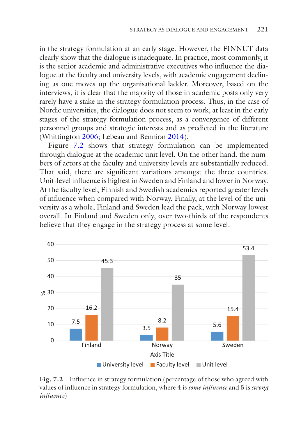in the strategy formulation at an early stage. However, the FINNUT data clearly show that the dialogue is inadequate. In practice, most commonly, it is the senior academic and administrative executives who influence the dialogue at the faculty and university levels, with academic engagement declining as one moves up the organisational ladder. Moreover, based on the interviews, it is clear that the majority of those in academic posts only very rarely have a stake in the strategy formulation process. Thus, in the case of Nordic universities, the dialogue does not seem to work, at least in the early stages of the strategy formulation process, as a convergence of different personnel groups and strategic interests and as predicted in the literature (Whittington [2006;](#page-23-0) Lebeau and Bennion [2014\)](#page-21-5).

Figure [7.2](#page-10-0) shows that strategy formulation can be implemented through dialogue at the academic unit level. On the other hand, the numbers of actors at the faculty and university levels are substantially reduced. That said, there are significant variations amongst the three countries. Unit-level influence is highest in Sweden and Finland and lower in Norway. At the faculty level, Finnish and Swedish academics reported greater levels of influence when compared with Norway. Finally, at the level of the university as a whole, Finland and Sweden lead the pack, with Norway lowest overall. In Finland and Sweden only, over two-thirds of the respondents believe that they engage in the strategy process at some level.

<span id="page-10-0"></span>

**Fig. 7.2** Influence in strategy formulation (percentage of those who agreed with values of influence in strategy formulation, where 4 is *some influence* and 5 is *strong influence*)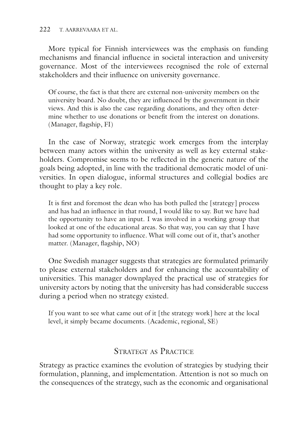More typical for Finnish interviewees was the emphasis on funding mechanisms and financial influence in societal interaction and university governance. Most of the interviewees recognised the role of external stakeholders and their influence on university governance.

Of course, the fact is that there are external non-university members on the university board. No doubt, they are influenced by the government in their views. And this is also the case regarding donations, and they often determine whether to use donations or benefit from the interest on donations. (Manager, flagship, FI)

In the case of Norway, strategic work emerges from the interplay between many actors within the university as well as key external stakeholders. Compromise seems to be reflected in the generic nature of the goals being adopted, in line with the traditional democratic model of universities. In open dialogue, informal structures and collegial bodies are thought to play a key role.

It is first and foremost the dean who has both pulled the [strategy] process and has had an influence in that round, I would like to say. But we have had the opportunity to have an input. I was involved in a working group that looked at one of the educational areas. So that way, you can say that I have had some opportunity to influence. What will come out of it, that's another matter. (Manager, flagship, NO)

One Swedish manager suggests that strategies are formulated primarily to please external stakeholders and for enhancing the accountability of universities. This manager downplayed the practical use of strategies for university actors by noting that the university has had considerable success during a period when no strategy existed.

If you want to see what came out of it [the strategy work] here at the local level, it simply became documents. (Academic, regional, SE)

# STRATEGY AS PRACTICE

Strategy as practice examines the evolution of strategies by studying their formulation, planning, and implementation. Attention is not so much on the consequences of the strategy, such as the economic and organisational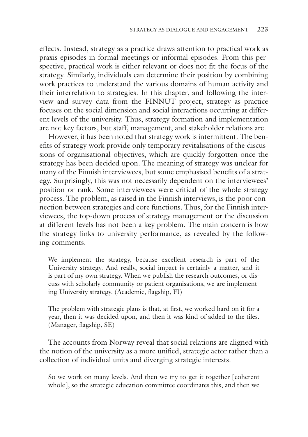effects. Instead, strategy as a practice draws attention to practical work as praxis episodes in formal meetings or informal episodes. From this perspective, practical work is either relevant or does not fit the focus of the strategy. Similarly, individuals can determine their position by combining work practices to understand the various domains of human activity and their interrelation to strategies. In this chapter, and following the interview and survey data from the FINNUT project, strategy as practice focuses on the social dimension and social interactions occurring at different levels of the university. Thus, strategy formation and implementation are not key factors, but staff, management, and stakeholder relations are.

However, it has been noted that strategy work is intermittent. The benefits of strategy work provide only temporary revitalisations of the discussions of organisational objectives, which are quickly forgotten once the strategy has been decided upon. The meaning of strategy was unclear for many of the Finnish interviewees, but some emphasised benefits of a strategy. Surprisingly, this was not necessarily dependent on the interviewees' position or rank. Some interviewees were critical of the whole strategy process. The problem, as raised in the Finnish interviews, is the poor connection between strategies and core functions. Thus, for the Finnish interviewees, the top-down process of strategy management or the discussion at different levels has not been a key problem. The main concern is how the strategy links to university performance, as revealed by the following comments.

We implement the strategy, because excellent research is part of the University strategy. And really, social impact is certainly a matter, and it is part of my own strategy. When we publish the research outcomes, or discuss with scholarly community or patient organisations, we are implementing University strategy. (Academic, flagship, FI)

The problem with strategic plans is that, at first, we worked hard on it for a year, then it was decided upon, and then it was kind of added to the files. (Manager, flagship, SE)

The accounts from Norway reveal that social relations are aligned with the notion of the university as a more unified, strategic actor rather than a collection of individual units and diverging strategic interests.

So we work on many levels. And then we try to get it together [coherent whole], so the strategic education committee coordinates this, and then we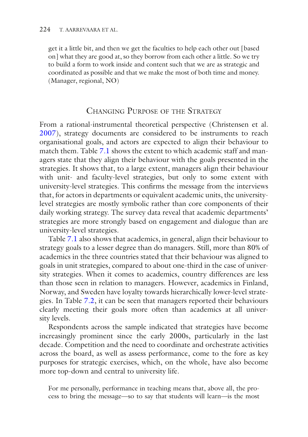get it a little bit, and then we get the faculties to help each other out [based on] what they are good at, so they borrow from each other a little. So we try to build a form to work inside and content such that we are as strategic and coordinated as possible and that we make the most of both time and money. (Manager, regional, NO)

## CHANGING PURPOSE OF THE STRATEGY

From a rational-instrumental theoretical perspective (Christensen et al. [2007](#page-20-8)), strategy documents are considered to be instruments to reach organisational goals, and actors are expected to align their behaviour to match them. Table [7.1](#page-14-0) shows the extent to which academic staff and managers state that they align their behaviour with the goals presented in the strategies. It shows that, to a large extent, managers align their behaviour with unit- and faculty-level strategies, but only to some extent with university-level strategies. This confirms the message from the interviews that, for actors in departments or equivalent academic units, the universitylevel strategies are mostly symbolic rather than core components of their daily working strategy. The survey data reveal that academic departments' strategies are more strongly based on engagement and dialogue than are university-level strategies.

Table [7.1](#page-14-0) also shows that academics, in general, align their behaviour to strategy goals to a lesser degree than do managers. Still, more than 80% of academics in the three countries stated that their behaviour was aligned to goals in unit strategies, compared to about one-third in the case of university strategies. When it comes to academics, country differences are less than those seen in relation to managers. However, academics in Finland, Norway, and Sweden have loyalty towards hierarchically lower-level strategies. In Table [7.2,](#page-14-1) it can be seen that managers reported their behaviours clearly meeting their goals more often than academics at all university levels.

Respondents across the sample indicated that strategies have become increasingly prominent since the early 2000s, particularly in the last decade. Competition and the need to coordinate and orchestrate activities across the board, as well as assess performance, come to the fore as key purposes for strategic exercises, which, on the whole, have also become more top-down and central to university life.

For me personally, performance in teaching means that, above all, the process to bring the message—so to say that students will learn—is the most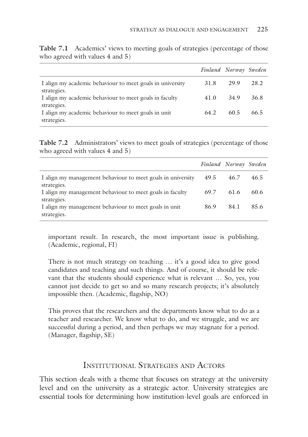|                                                                          |      | Finland Norway Sweden |      |
|--------------------------------------------------------------------------|------|-----------------------|------|
| I align my academic behaviour to meet goals in university<br>strategies. | 31.8 | 299                   | 28.2 |
| I align my academic behaviour to meet goals in faculty<br>strategies.    | 41.0 | 34.9                  | 36.8 |
| I align my academic behaviour to meet goals in unit<br>strategies.       | 64 2 | 60.5                  | 66.5 |

<span id="page-14-0"></span>**Table 7.1** Academics' views to meeting goals of strategies (percentage of those who agreed with values 4 and 5)

<span id="page-14-1"></span>**Table 7.2** Administrators' views to meet goals of strategies (percentage of those who agreed with values 4 and 5)

|                                                                            |      | Finland Norway Sweden |      |
|----------------------------------------------------------------------------|------|-----------------------|------|
| I align my management behaviour to meet goals in university<br>strategies. | 49.5 | 46.7                  | 46.5 |
| I align my management behaviour to meet goals in faculty<br>strategies.    | 69.7 | 61.6                  | 60.6 |
| I align my management behaviour to meet goals in unit<br>strategies.       | 86.9 | 84.1                  | 85.6 |

important result. In research, the most important issue is publishing. (Academic, regional, FI)

There is not much strategy on teaching … it's a good idea to give good candidates and teaching and such things. And of course, it should be relevant that the students should experience what is relevant … So, yes, you cannot just decide to get so and so many research projects; it's absolutely impossible then. (Academic, flagship, NO)

This proves that the researchers and the departments know what to do as a teacher and researcher. We know what to do, and we struggle, and we are successful during a period, and then perhaps we may stagnate for a period. (Manager, flagship, SE)

## Institutional Strategies and Actors

This section deals with a theme that focuses on strategy at the university level and on the university as a strategic actor. University strategies are essential tools for determining how institution-level goals are enforced in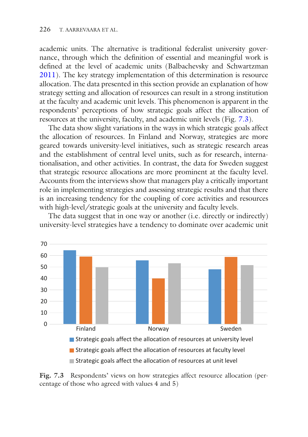academic units. The alternative is traditional federalist university governance, through which the definition of essential and meaningful work is defined at the level of academic units (Balbachevsky and Schwartzman [2011\)](#page-19-4). The key strategy implementation of this determination is resource allocation. The data presented in this section provide an explanation of how strategy setting and allocation of resources can result in a strong institution at the faculty and academic unit levels. This phenomenon is apparent in the respondents' perceptions of how strategic goals affect the allocation of resources at the university, faculty, and academic unit levels (Fig. [7.3\)](#page-15-0).

The data show slight variations in the ways in which strategic goals affect the allocation of resources. In Finland and Norway, strategies are more geared towards university-level initiatives, such as strategic research areas and the establishment of central level units, such as for research, internationalisation, and other activities. In contrast, the data for Sweden suggest that strategic resource allocations are more prominent at the faculty level. Accounts from the interviews show that managers play a critically important role in implementing strategies and assessing strategic results and that there is an increasing tendency for the coupling of core activities and resources with high-level/strategic goals at the university and faculty levels.

The data suggest that in one way or another (i.e. directly or indirectly) university-level strategies have a tendency to dominate over academic unit

<span id="page-15-0"></span>

Fig. 7.3 Respondents' views on how strategies affect resource allocation (percentage of those who agreed with values 4 and 5)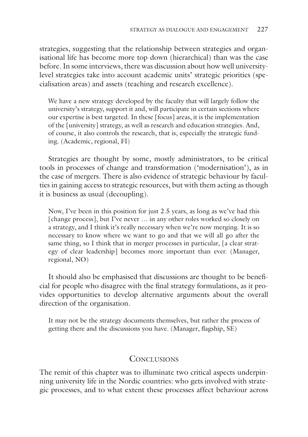strategies, suggesting that the relationship between strategies and organisational life has become more top down (hierarchical) than was the case before. In some interviews, there was discussion about how well universitylevel strategies take into account academic units' strategic priorities (specialisation areas) and assets (teaching and research excellence).

We have a new strategy developed by the faculty that will largely follow the university's strategy, support it and, will participate in certain sections where our expertise is best targeted. In these [focus] areas, it is the implementation of the [university] strategy, as well as research and education strategies. And, of course, it also controls the research, that is, especially the strategic funding. (Academic, regional, FI)

Strategies are thought by some, mostly administrators, to be critical tools in processes of change and transformation ('modernisation'), as in the case of mergers. There is also evidence of strategic behaviour by faculties in gaining access to strategic resources, but with them acting as though it is business as usual (decoupling).

Now, I've been in this position for just 2.5 years, as long as we've had this [change process], but I've never ... in any other roles worked so closely on a strategy, and I think it's really necessary when we're now merging. It is so necessary to know where we want to go and that we will all go after the same thing, so I think that in merger processes in particular, [a clear strategy of clear leadership] becomes more important than ever. (Manager, regional, NO)

It should also be emphasised that discussions are thought to be beneficial for people who disagree with the final strategy formulations, as it provides opportunities to develop alternative arguments about the overall direction of the organisation.

It may not be the strategy documents themselves, but rather the process of getting there and the discussions you have. (Manager, flagship, SE)

## CONCLUSIONS

The remit of this chapter was to illuminate two critical aspects underpinning university life in the Nordic countries: who gets involved with strategic processes, and to what extent these processes affect behaviour across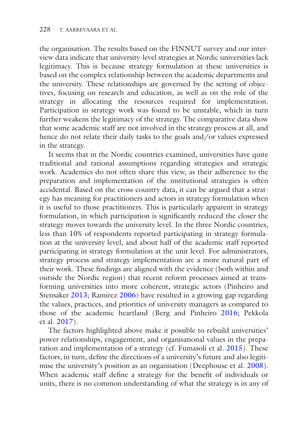the organisation. The results based on the FINNUT survey and our interview data indicate that university-level strategies at Nordic universities lack legitimacy. This is because strategy formulation at these universities is based on the complex relationship between the academic departments and the university. These relationships are governed by the setting of objectives, focusing on research and education, as well as on the role of the strategy in allocating the resources required for implementation. Participation in strategy work was found to be unstable, which in turn further weakens the legitimacy of the strategy. The comparative data show that some academic staff are not involved in the strategy process at all, and hence do not relate their daily tasks to the goals and/or values expressed in the strategy.

It seems that in the Nordic countries examined, universities have quite traditional and rational assumptions regarding strategies and strategic work. Academics do not often share this view, as their adherence to the preparation and implementation of the institutional strategies is often accidental. Based on the cross-country data, it can be argued that a strategy has meaning for practitioners and actors in strategy formulation when it is useful to those practitioners. This is particularly apparent in strategy formulation, in which participation is significantly reduced the closer the strategy moves towards the university level. In the three Nordic countries, less than 10% of respondents reported participating in strategy formulation at the university level, and about half of the academic staff reported participating in strategy formulation at the unit level. For administrators, strategy process and strategy implementation are a more natural part of their work. These findings are aligned with the evidence (both within and outside the Nordic region) that recent reform processes aimed at transforming universities into more coherent, strategic actors (Pinheiro and Stensaker [2013](#page-22-3); Ramirez [2006](#page-22-10)) have resulted in a growing gap regarding the values, practices, and priorities of university managers as compared to those of the academic heartland (Berg and Pinheiro [2016;](#page-20-9) Pekkola et al. [2017\)](#page-22-9).

The factors highlighted above make it possible to rebuild universities' power relationships, engagement, and organisational values in the preparation and implementation of a strategy (cf. Fumasoli et al. [2015\)](#page-20-4). These factors, in turn, define the directions of a university's future and also legitimise the university's position as an organisation (Deephouse et al. [2008](#page-20-10)). When academic staff define a strategy for the benefit of individuals or units, there is no common understanding of what the strategy is in any of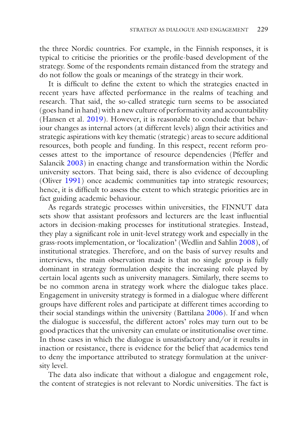the three Nordic countries. For example, in the Finnish responses, it is typical to criticise the priorities or the profile-based development of the strategy. Some of the respondents remain distanced from the strategy and do not follow the goals or meanings of the strategy in their work.

It is difficult to define the extent to which the strategies enacted in recent years have affected performance in the realms of teaching and research. That said, the so-called strategic turn seems to be associated (goes hand in hand) with a new culture of performativity and accountability (Hansen et al. [2019\)](#page-21-12). However, it is reasonable to conclude that behaviour changes as internal actors (at different levels) align their activities and strategic aspirations with key thematic (strategic) areas to secure additional resources, both people and funding. In this respect, recent reform processes attest to the importance of resource dependencies (Pfeffer and Salancik [2003\)](#page-22-11) in enacting change and transformation within the Nordic university sectors. That being said, there is also evidence of decoupling (Oliver [1991\)](#page-21-13) once academic communities tap into strategic resources; hence, it is difficult to assess the extent to which strategic priorities are in fact guiding academic behaviour.

As regards strategic processes within universities, the FINNUT data sets show that assistant professors and lecturers are the least influential actors in decision-making processes for institutional strategies. Instead, they play a significant role in unit-level strategy work and especially in the grass-roots implementation, or 'localization' (Wedlin and Sahlin [2008](#page-23-1)), of institutional strategies. Therefore, and on the basis of survey results and interviews, the main observation made is that no single group is fully dominant in strategy formulation despite the increasing role played by certain local agents such as university managers. Similarly, there seems to be no common arena in strategy work where the dialogue takes place. Engagement in university strategy is formed in a dialogue where different groups have different roles and participate at different times according to their social standings within the university (Battilana [2006\)](#page-20-11). If and when the dialogue is successful, the different actors' roles may turn out to be good practices that the university can emulate or institutionalise over time. In those cases in which the dialogue is unsatisfactory and/or it results in inaction or resistance, there is evidence for the belief that academics tend to deny the importance attributed to strategy formulation at the university level.

The data also indicate that without a dialogue and engagement role, the content of strategies is not relevant to Nordic universities. The fact is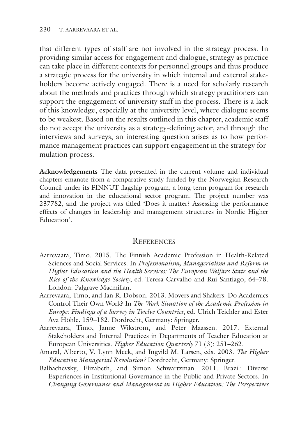that different types of staff are not involved in the strategy process. In providing similar access for engagement and dialogue, strategy as practice can take place in different contexts for personnel groups and thus produce a strategic process for the university in which internal and external stakeholders become actively engaged. There is a need for scholarly research about the methods and practices through which strategy practitioners can support the engagement of university staff in the process. There is a lack of this knowledge, especially at the university level, where dialogue seems to be weakest. Based on the results outlined in this chapter, academic staff do not accept the university as a strategy-defining actor, and through the interviews and surveys, an interesting question arises as to how performance management practices can support engagement in the strategy formulation process.

**Acknowledgements** The data presented in the current volume and individual chapters emanate from a comparative study funded by the Norwegian Research Council under its FINNUT flagship program, a long-term program for research and innovation in the educational sector program. The project number was 237782, and the project was titled 'Does it matter? Assessing the performance effects of changes in leadership and management structures in Nordic Higher Education'.

### **REFERENCES**

- <span id="page-19-0"></span>Aarrevaara, Timo. 2015. The Finnish Academic Profession in Health-Related Sciences and Social Services. In *Professionalism, Managerialism and Reform in Higher Education and the Health Services: The European Welfare State and the Rise of the Knowledge Society*, ed. Teresa Carvalho and Rui Santiago, 64–78. London: Palgrave Macmillan.
- <span id="page-19-2"></span>Aarrevaara, Timo, and Ian R. Dobson. 2013. Movers and Shakers: Do Academics Control Their Own Work? In *The Work Situation of the Academic Profession in Europe: Findings of a Survey in Twelve Countries*, ed. Ulrich Teichler and Ester Ava Höhle, 159–182. Dordrecht, Germany: Springer.
- <span id="page-19-3"></span>Aarrevaara, Timo, Janne Wikström, and Peter Maassen. 2017. External Stakeholders and Internal Practices in Departments of Teacher Education at European Universities. *Higher Education Quarterly* 71 (3): 251–262.
- <span id="page-19-1"></span>Amaral, Alberto, V. Lynn Meek, and Ingvild M. Larsen, eds. 2003. *The Higher Education Managerial Revolution?* Dordrecht, Germany: Springer.
- <span id="page-19-4"></span>Balbachevsky, Elizabeth, and Simon Schwartzman. 2011. Brazil: Diverse Experiences in Institutional Governance in the Public and Private Sectors. In *Changing Governance and Management in Higher Education: The Perspectives*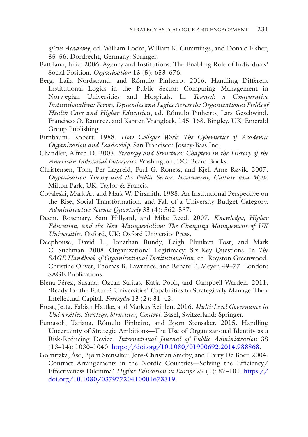*of the Academy*, ed. William Locke, William K. Cummings, and Donald Fisher, 35–56. Dordrecht, Germany: Springer.

- <span id="page-20-11"></span>Battilana, Julie. 2006. Agency and Institutions: The Enabling Role of Individuals' Social Position. *Organization* 13 (5): 653–676.
- <span id="page-20-9"></span>Berg, Laila Nordstrand, and Rómulo Pinheiro. 2016. Handling Different Institutional Logics in the Public Sector: Comparing Management in Norwegian Universities and Hospitals. In *Towards a Comparative Institutionalism: Forms, Dynamics and Logics Across the Organizational Fields of Health Care and Higher Education*, ed. Rómulo Pinheiro, Lars Geschwind, Francisco O. Ramirez, and Karsten Vrangbæk, 145–168. Bingley, UK: Emerald Group Publishing.
- <span id="page-20-2"></span>Birnbaum, Robert. 1988. *How Colleges Work: The Cybernetics of Academic Organization and Leadership*. San Francisco: Jossey-Bass Inc.
- <span id="page-20-0"></span>Chandler, Alfred D. 2003. *Strategy and Structure: Chapters in the History of the American Industrial Enterprise*. Washington, DC: Beard Books.
- <span id="page-20-8"></span>Christensen, Tom, Per Lægreid, Paul G. Roness, and Kjell Arne Røvik. 2007. *Organization Theory and the Public Sector: Instrument, Culture and Myth*. Milton Park, UK: Taylor & Francis.
- <span id="page-20-7"></span>Covaleski, Mark A., and Mark W. Dirsmith. 1988. An Institutional Perspective on the Rise, Social Transformation, and Fall of a University Budget Category. *Administrative Science Quarterly* 33 (4): 562–587.
- <span id="page-20-3"></span>Deem, Rosemary, Sam Hillyard, and Mike Reed. 2007. *Knowledge, Higher Education, and the New Managerialism: The Changing Management of UK Universities*. Oxford, UK: Oxford University Press.
- <span id="page-20-10"></span>Deephouse, David L., Jonathan Bundy, Leigh Plunkett Tost, and Mark C. Suchman. 2008. Organizational Legitimacy: Six Key Questions. In *The SAGE Handbook of Organizational Institutionalism*, ed. Royston Greenwood, Christine Oliver, Thomas B. Lawrence, and Renate E. Meyer, 49–77. London: SAGE Publications.
- <span id="page-20-1"></span>Elena-Pérez, Susana, Ozcan Saritas, Katja Pook, and Campbell Warden. 2011. 'Ready for the Future? Universities' Capabilities to Strategically Manage Their Intellectual Capital. *Foresight* 13 (2): 31–42.
- <span id="page-20-6"></span>Frost, Jetta, Fabian Hattke, and Markus Reihlen. 2016. *Multi-Level Governance in Universities: Strategy, Structure, Control*. Basel, Switzerland: Springer.
- <span id="page-20-4"></span>Fumasoli, Tatiana, Rómulo Pinheiro, and Bjørn Stensaker. 2015. Handling Uncertainty of Strategic Ambitions—The Use of Organizational Identity as a Risk-Reducing Device. *International Journal of Public Administration* 38 (13–14): 1030–1040. [https://doi.org/10.1080/01900692.2014.988868.](https://doi.org/10.1080/01900692.2014.988868)
- <span id="page-20-5"></span>Gornitzka, Åse, Bjørn Stensaker, Jens-Christian Smeby, and Harry De Boer. 2004. Contract Arrangements in the Nordic Countries—Solving the Efficiency/ Effectiveness Dilemma? *Higher Education in Europe* 29 (1): 87–101. [https://](https://doi.org/10.1080/03797720410001673319) [doi.org/10.1080/03797720410001673319.](https://doi.org/10.1080/03797720410001673319)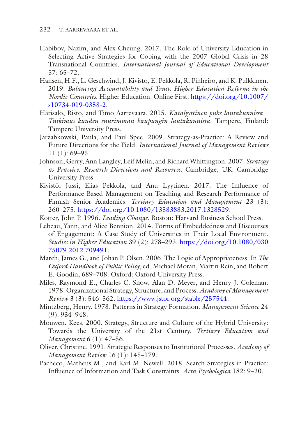- <span id="page-21-4"></span>Habibov, Nazim, and Alex Cheung. 2017. The Role of University Education in Selecting Active Strategies for Coping with the 2007 Global Crisis in 28 Transnational Countries. *International Journal of Educational Development* 57: 65–72.
- <span id="page-21-12"></span>Hansen, H.F., L. Geschwind, J. Kivistö, E. Pekkola, R. Pinheiro, and K. Pulkkinen. 2019. *Balancing Accountability and Trust: Higher Education Reforms in the Nordic Countries*. Higher Education. Online First. [https://doi.org/10.1007/](https://doi.org/10.1007/s10734-019-0358-2) [s10734-019-0358-2](https://doi.org/10.1007/s10734-019-0358-2).
- <span id="page-21-11"></span>Harisalo, Risto, and Timo Aarrevaara. 2015. *Katalyyttinen puhe lautakunnissa – Tutkimus kuuden suurimman kaupungin lautakunnista*. Tampere, Finland: Tampere University Press.
- <span id="page-21-10"></span>Jarzabkowski, Paula, and Paul Spee. 2009. Strategy-as-Practice: A Review and Future Directions for the Field. *International Journal of Management Reviews* 11 (1): 69–95.
- <span id="page-21-7"></span>Johnson, Gerry, Ann Langley, Leif Melin, and Richard Whittington. 2007. *Strategy as Practice: Research Directions and Resources*. Cambridge, UK: Cambridge University Press.
- <span id="page-21-6"></span>Kivistö, Jussi, Elias Pekkola, and Anu Lyytinen. 2017. The Influence of Performance-Based Management on Teaching and Research Performance of Finnish Senior Academics. *Tertiary Education and Management* 23 (3): 260–275. <https://doi.org/10.1080/13583883.2017.1328529>.
- <span id="page-21-8"></span>Kotter, John P. 1996. *Leading Change*. Boston: Harvard Business School Press.
- <span id="page-21-5"></span>Lebeau, Yann, and Alice Bennion. 2014. Forms of Embeddedness and Discourses of Engagement: A Case Study of Universities in Their Local Environment. *Studies in Higher Education* 39 (2): 278–293. [https://doi.org/10.1080/030](https://doi.org/10.1080/03075079.2012.709491) [75079.2012.709491](https://doi.org/10.1080/03075079.2012.709491).
- <span id="page-21-3"></span>March, James G., and Johan P. Olsen. 2006. The Logic of Appropriateness. In *The Oxford Handbook of Public Policy*, ed. Michael Moran, Martin Rein, and Robert E. Goodin, 689–708. Oxford: Oxford University Press.
- <span id="page-21-0"></span>Miles, Raymond E., Charles C. Snow, Alan D. Meyer, and Henry J. Coleman. 1978. Organizational Strategy, Structure, and Process. *Academy of Management Review* 3 (3): 546–562. [https://www.jstor.org/stable/257544.](https://www.jstor.org/stable/257544)
- <span id="page-21-2"></span>Mintzberg, Henry. 1978. Patterns in Strategy Formation. *Management Science* 24 (9): 934–948.
- <span id="page-21-1"></span>Mouwen, Kees. 2000. Strategy, Structure and Culture of the Hybrid University: Towards the University of the 21st Century. *Tertiary Education and Management* 6 (1): 47–56.
- <span id="page-21-13"></span>Oliver, Christine. 1991. Strategic Responses to Institutional Processes. *Academy of Management Review* 16 (1): 145–179.
- <span id="page-21-9"></span>Pacheco, Matheus M., and Karl M. Newell. 2018. Search Strategies in Practice: Influence of Information and Task Constraints. *Acta Psychologica* 182: 9–20.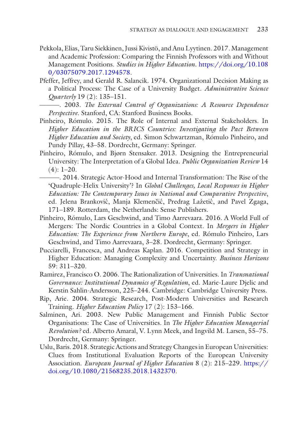- <span id="page-22-9"></span>Pekkola, Elias, Taru Siekkinen, Jussi Kivistö, and Anu Lyytinen. 2017. Management and Academic Profession: Comparing the Finnish Professors with and Without Management Positions. *Studies in Higher Education*. [https://doi.org/10.108](https://doi.org/10.1080/03075079.2017.1294578) [0/03075079.2017.1294578](https://doi.org/10.1080/03075079.2017.1294578).
- <span id="page-22-6"></span>Pfeffer, Jeffrey, and Gerald R. Salancik. 1974. Organizational Decision Making as a Political Process: The Case of a University Budget. *Administrative Science Quarterly* 19 (2): 135–151.

<span id="page-22-11"></span>———. 2003. *The External Control of Organizations: A Resource Dependence Perspective*. Stanford, CA: Stanford Business Books.

- <span id="page-22-7"></span>Pinheiro, Rómulo. 2015. The Role of Internal and External Stakeholders. In *Higher Education in the BRICS Countries: Investigating the Pact Between Higher Education and Society*, ed. Simon Schwartzman, Rómulo Pinheiro, and Pundy Pillay, 43–58. Dordrecht, Germany: Springer.
- <span id="page-22-3"></span>Pinheiro, Rómulo, and Bjørn Stensaker. 2013. Designing the Entrepreneurial University: The Interpretation of a Global Idea. *Public Organization Review* 14  $(4): 1-20.$
- <span id="page-22-4"></span>———. 2014. Strategic Actor-Hood and Internal Transformation: The Rise of the 'Quadruple-Helix University'? In *Global Challenges, Local Responses in Higher Education: The Contemporary Issues in National and Comparative Perspective*, ed. Jelena Branković, Manja Klemenčić, Predrag Lažetić, and Pavel Zgaga, 171–189. Rotterdam, the Netherlands: Sense Publishers.
- <span id="page-22-5"></span>Pinheiro, Rómulo, Lars Geschwind, and Timo Aarrevaara. 2016. A World Full of Mergers: The Nordic Countries in a Global Context. In *Mergers in Higher Education: The Experience from Northern Europe*, ed. Rómulo Pinheiro, Lars Geschwind, and Timo Aarrevaara, 3–28. Dordrecht, Germany: Springer.
- <span id="page-22-8"></span>Pucciarelli, Francesca, and Andreas Kaplan. 2016. Competition and Strategy in Higher Education: Managing Complexity and Uncertainty. *Business Horizons* 59: 311–320.
- <span id="page-22-10"></span>Ramirez, Francisco O. 2006. The Rationalization of Universities. In *Transnational Governance: Institutional Dynamics of Regulation*, ed. Marie-Laure Djelic and Kerstin Sahlin-Andersson, 225–244. Cambridge: Cambridge University Press.
- <span id="page-22-0"></span>Rip, Arie. 2004. Strategic Research, Post-Modern Universities and Research Training. *Higher Education Policy* 17 (2): 153–166.
- <span id="page-22-1"></span>Salminen, Ari. 2003. New Public Management and Finnish Public Sector Organisations: The Case of Universities. In *The Higher Education Managerial Revolution?* ed. Alberto Amaral, V. Lynn Meek, and Ingvild M. Larsen, 55–75. Dordrecht, Germany: Springer.
- <span id="page-22-2"></span>Uslu, Baris. 2018. Strategic Actions and Strategy Changes in European Universities: Clues from Institutional Evaluation Reports of the European University Association. *European Journal of Higher Education* 8 (2): 215–229. [https://](https://doi.org/10.1080/21568235.2018.1432370) [doi.org/10.1080/21568235.2018.1432370.](https://doi.org/10.1080/21568235.2018.1432370)